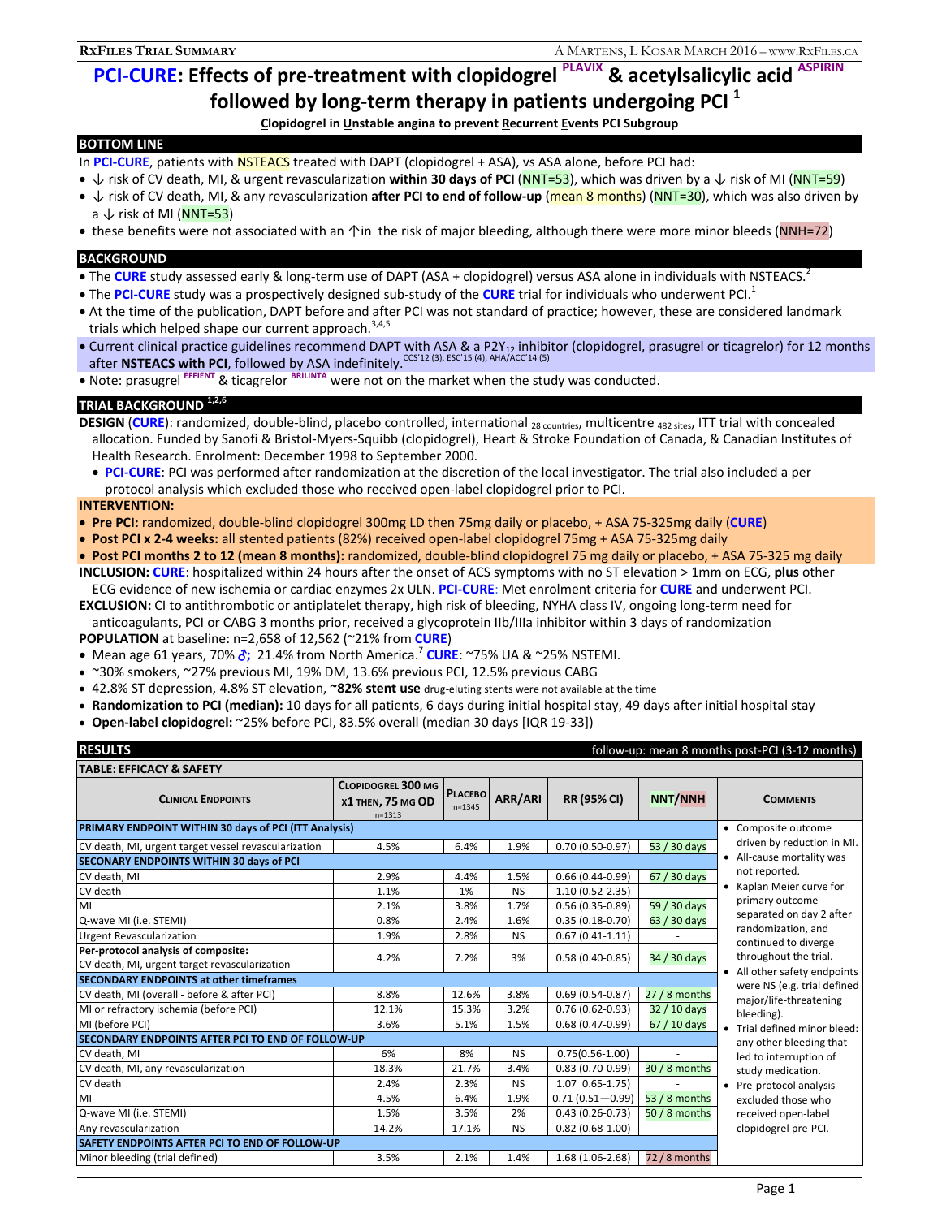# **PCI-CURE: Effects of pre-treatment with clopidogrel PLAVIX & acetylsalicylic acid**

**followed by long-term therapy in patients undergoing PCI**  $^1$ <br>Clopidogrel in Unstable angina to prevent <u>R</u>ecurrent <u>E</u>vents PCI Subgroup

### **BOTTOM LINE**

- In PCI-CURE, patients with NSTEACS treated with DAPT (clopidogrel + ASA), vs ASA alone, before PCI had:
- ↓ risk of CV death, MI, & urgent revascularization **within 30 days of PCI** (NNT=53), which was driven by a ↓ risk of MI (NNT=59)
- ↓ risk of CV death, MI, & any revascularization **after PCI to end of follow-up** (mean 8 months) (NNT=30), which was also driven by  $a \downarrow$  risk of MI (NNT=53)
- these benefits were not associated with an  $\uparrow$ in the risk of major bleeding, although there were more minor bleeds (NNH=72)

### **BACKGROUND**

- The **CURE** study assessed early & long-term use of DAPT (ASA + clopidogrel) versus ASA alone in individuals with NSTEACS.<sup>2</sup>
- The PCI-CURE study was a prospectively designed sub-study of the CURE trial for individuals who underwent PCI.<sup>1</sup>
- At the time of the publication, DAPT before and after PCI was not standard of practice; however, these are considered landmark trials which helped shape our current approach.  $3,4,5$
- · Current clinical practice guidelines recommend DAPT with ASA & a P2Y<sub>12</sub> inhibitor (clopidogrel, prasugrel or ticagrelor) for 12 months after **NSTEACS with PCI**, followed by ASA indefinitely.<sup>CCS'12</sup> (3), ESC'15 (4), AHA/ACC'14 (5)
- Note: prasugrel EFFIENT & ticagrelor BRILINTA were not on the market when the study was conducted.

### **TRIAL BACKGROUND 1,2,6**

**DESIGN** (CURE): randomized, double-blind, placebo controlled, international <sub>28 countries, multicentre <sub>482 sites, ITT trial with concealed</sub></sub> allocation. Funded by Sanofi & Bristol-Myers-Squibb (clopidogrel), Heart & Stroke Foundation of Canada, & Canadian Institutes of Health Research. Enrolment: December 1998 to September 2000.

 **PCI-CURE**: PCI was performed after randomization at the discretion of the local investigator. The trial also included a per protocol analysis which excluded those who received open-label clopidogrel prior to PCI.

### **INTERVENTION:**

- **Pre PCI:** randomized, double-blind clopidogrel 300mg LD then 75mg daily or placebo, + ASA 75-325mg daily (**CURE**)
- **Post PCI x 2-4 weeks:** all stented patients (82%) received open-label clopidogrel 75mg + ASA 75-325mg daily

 **Post PCI months 2 to 12 (mean 8 months):** randomized, double-blind clopidogrel 75 mg daily or placebo, + ASA 75-325 mg daily **INCLUSION: CURE**: hospitalized within 24 hours after the onset of ACS symptoms with no ST elevation > 1mm on ECG, **plus** other

ECG evidence of new ischemia or cardiac enzymes 2x ULN. **PCI-CURE**: Met enrolment criteria for **CURE** and underwent PCI.

**EXCLUSION:** CI to antithrombotic or antiplatelet therapy, high risk of bleeding, NYHA class IV, ongoing long-term need for anticoagulants, PCI or CABG 3 months prior, received a glycoprotein IIb/IIIa inhibitor within 3 days of randomization

**POPULATION** at baseline: n=2,658 of 12,562 (~21% from **CURE**)

- Mean age 61 years, 70%  $\delta$ ; 21.4% from North America.<sup>7</sup> CURE: ~75% UA & ~25% NSTEMI.
- ~30% smokers, ~27% previous MI, 19% DM, 13.6% previous PCI, 12.5% previous CABG
- 42.8% ST depression, 4.8% ST elevation, **~82% stent use** drug-eluting stents were not available at the time
- **Randomization to PCI (median):** 10 days for all patients, 6 days during initial hospital stay, 49 days after initial hospital stay
- **Open-label clopidogrel:** ~25% before PCI, 83.5% overall (median 30 days [IQR 19-33])

| <b>RESULTS</b><br>follow-up: mean 8 months post-PCI (3-12 months)                    |                                                              |                              |           |                      |                |                                                                                                                                                                                                 |
|--------------------------------------------------------------------------------------|--------------------------------------------------------------|------------------------------|-----------|----------------------|----------------|-------------------------------------------------------------------------------------------------------------------------------------------------------------------------------------------------|
| <b>TABLE: EFFICACY &amp; SAFETY</b>                                                  |                                                              |                              |           |                      |                |                                                                                                                                                                                                 |
| <b>CLINICAL ENDPOINTS</b>                                                            | <b>CLOPIDOGREL 300 MG</b><br>X1 THEN, 75 MG OD<br>$n = 1313$ | <b>PLACEBO</b><br>$n = 1345$ | ARR/ARI   | <b>RR (95% CI)</b>   | <b>NNT/NNH</b> | <b>COMMENTS</b>                                                                                                                                                                                 |
| PRIMARY ENDPOINT WITHIN 30 days of PCI (ITT Analysis)                                |                                                              |                              |           |                      |                | • Composite outcome                                                                                                                                                                             |
| CV death, MI, urgent target vessel revascularization                                 | 4.5%                                                         | 6.4%                         | 1.9%      | $0.70(0.50-0.97)$    | 53 / 30 days   | driven by reduction in MI.                                                                                                                                                                      |
| SECONARY ENDPOINTS WITHIN 30 days of PCI                                             |                                                              |                              |           |                      |                | • All-cause mortality was                                                                                                                                                                       |
| CV death, MI                                                                         | 2.9%                                                         | 4.4%                         | 1.5%      | $0.66(0.44-0.99)$    | 67 / 30 days   | not reported.<br>• Kaplan Meier curve for<br>primary outcome<br>separated on day 2 after<br>randomization, and<br>continued to diverge<br>throughout the trial.<br>• All other safety endpoints |
| CV death                                                                             | 1.1%                                                         | 1%                           | <b>NS</b> | $1.10(0.52 - 2.35)$  |                |                                                                                                                                                                                                 |
| MI                                                                                   | 2.1%                                                         | 3.8%                         | 1.7%      | $0.56(0.35-0.89)$    | 59 / 30 days   |                                                                                                                                                                                                 |
| Q-wave MI (i.e. STEMI)                                                               | 0.8%                                                         | 2.4%                         | 1.6%      | $0.35(0.18-0.70)$    | 63 / 30 days   |                                                                                                                                                                                                 |
| <b>Urgent Revascularization</b>                                                      | 1.9%                                                         | 2.8%                         | <b>NS</b> | $0.67(0.41-1.11)$    |                |                                                                                                                                                                                                 |
| Per-protocol analysis of composite:<br>CV death, MI, urgent target revascularization | 4.2%                                                         | 7.2%                         | 3%        | $0.58(0.40-0.85)$    | 34 / 30 days   |                                                                                                                                                                                                 |
| <b>SECONDARY ENDPOINTS at other timeframes</b>                                       |                                                              |                              |           |                      |                | were NS (e.g. trial defined                                                                                                                                                                     |
| CV death, MI (overall - before & after PCI)                                          | 8.8%                                                         | 12.6%                        | 3.8%      | $0.69(0.54-0.87)$    | $27/8$ months  | major/life-threatening<br>bleeding).<br>• Trial defined minor bleed:                                                                                                                            |
| MI or refractory ischemia (before PCI)                                               | 12.1%                                                        | 15.3%                        | 3.2%      | $0.76(0.62 - 0.93)$  | 32 / 10 days   |                                                                                                                                                                                                 |
| MI (before PCI)                                                                      | 3.6%                                                         | 5.1%                         | 1.5%      | $0.68(0.47-0.99)$    | 67 / 10 days   |                                                                                                                                                                                                 |
| SECONDARY ENDPOINTS AFTER PCI TO END OF FOLLOW-UP                                    |                                                              |                              |           |                      |                | any other bleeding that                                                                                                                                                                         |
| CV death, MI                                                                         | 6%                                                           | 8%                           | <b>NS</b> | $0.75(0.56 - 1.00)$  |                | led to interruption of                                                                                                                                                                          |
| CV death, MI, any revascularization                                                  | 18.3%                                                        | 21.7%                        | 3.4%      | $0.83(0.70-0.99)$    | 30 / 8 months  | study medication.                                                                                                                                                                               |
| CV death                                                                             | 2.4%                                                         | 2.3%                         | <b>NS</b> | $1.07$ $0.65 - 1.75$ |                | • Pre-protocol analysis                                                                                                                                                                         |
| MI                                                                                   | 4.5%                                                         | 6.4%                         | 1.9%      | $0.71(0.51 - 0.99)$  | 53 / 8 months  | excluded those who                                                                                                                                                                              |
| Q-wave MI (i.e. STEMI)                                                               | 1.5%                                                         | 3.5%                         | 2%        | $0.43(0.26-0.73)$    | 50 / 8 months  | received open-label                                                                                                                                                                             |
| Any revascularization                                                                | 14.2%                                                        | 17.1%                        | <b>NS</b> | $0.82(0.68-1.00)$    |                | clopidogrel pre-PCI.                                                                                                                                                                            |
| <b>SAFETY ENDPOINTS AFTER PCI TO END OF FOLLOW-UP</b>                                |                                                              |                              |           |                      |                |                                                                                                                                                                                                 |
| Minor bleeding (trial defined)                                                       | 3.5%                                                         | 2.1%                         | 1.4%      | $1.68(1.06-2.68)$    | 72 / 8 months  |                                                                                                                                                                                                 |